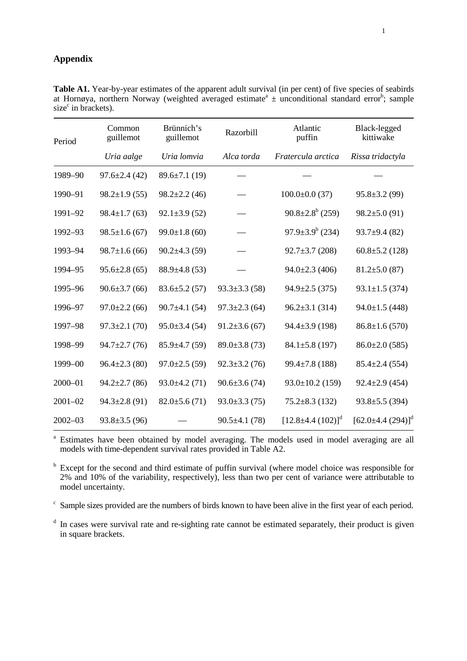## **Appendix**

| Period      | Common<br>guillemot | Brünnich's<br>guillemot |                     | Atlantic<br>puffin       | Black-legged<br>kittiwake |  |
|-------------|---------------------|-------------------------|---------------------|--------------------------|---------------------------|--|
|             | Uria aalge          | Uria lomvia             | Alca torda          | Fratercula arctica       | Rissa tridactyla          |  |
| 1989-90     | $97.6 \pm 2.4(42)$  | $89.6 \pm 7.1(19)$      |                     |                          |                           |  |
| 1990-91     | $98.2 \pm 1.9(55)$  | $98.2 \pm 2.2$ (46)     |                     | $100.0 \pm 0.0$ (37)     | $95.8 \pm 3.2$ (99)       |  |
| 1991-92     | $98.4 \pm 1.7(63)$  | $92.1 \pm 3.9$ (52)     |                     | $90.8 \pm 2.8^b$ (259)   | $98.2 \pm 5.0$ (91)       |  |
| 1992-93     | $98.5 \pm 1.6$ (67) | $99.0 \pm 1.8$ (60)     |                     | $97.9 \pm 3.9^b$ (234)   | $93.7 \pm 9.4$ (82)       |  |
| 1993-94     | $98.7 \pm 1.6$ (66) | $90.2 \pm 4.3$ (59)     |                     | $92.7 \pm 3.7$ (208)     | $60.8 \pm 5.2$ (128)      |  |
| 1994-95     | $95.6 \pm 2.8(65)$  | $88.9 \pm 4.8$ (53)     |                     | $94.0 \pm 2.3$ (406)     | $81.2 \pm 5.0$ (87)       |  |
| 1995-96     | $90.6 \pm 3.7(66)$  | $83.6 \pm 5.2(57)$      | $93.3 \pm 3.3$ (58) | $94.9 \pm 2.5$ (375)     | $93.1 \pm 1.5$ (374)      |  |
| 1996-97     | $97.0 \pm 2.2$ (66) | $90.7 \pm 4.1$ (54)     | $97.3 \pm 2.3$ (64) | $96.2 \pm 3.1$ (314)     | $94.0 \pm 1.5$ (448)      |  |
| 1997-98     | $97.3 \pm 2.1$ (70) | $95.0 \pm 3.4$ (54)     | $91.2 \pm 3.6$ (67) | $94.4 \pm 3.9$ (198)     | $86.8 \pm 1.6(570)$       |  |
| 1998-99     | $94.7 \pm 2.7$ (76) | $85.9 \pm 4.7(59)$      | $89.0 \pm 3.8$ (73) | $84.1 \pm 5.8$ (197)     | $86.0 \pm 2.0$ (585)      |  |
| 1999-00     | $96.4 \pm 2.3$ (80) | $97.0 \pm 2.5(59)$      | $92.3 \pm 3.2(76)$  | $99.4 \pm 7.8$ (188)     | $85.4 \pm 2.4$ (554)      |  |
| $2000 - 01$ | $94.2 \pm 2.7$ (86) | $93.0 \pm 4.2(71)$      | $90.6 \pm 3.6(74)$  | $93.0 \pm 10.2$ (159)    | $92.4 \pm 2.9$ (454)      |  |
| $2001 - 02$ | $94.3 \pm 2.8$ (91) | $82.0 \pm 5.6(71)$      | $93.0 \pm 3.3(75)$  | $75.2 \pm 8.3$ (132)     | $93.8 \pm 5.5$ (394)      |  |
| $2002 - 03$ | $93.8 \pm 3.5(96)$  |                         | $90.5 \pm 4.1(78)$  | $[12.8 \pm 4.4 (102)]^d$ | $[62.0 \pm 4.4 (294)]^d$  |  |

**Table A1.** Year-by-year estimates of the apparent adult survival (in per cent) of five species of seabirds at Hornøya, northern Norway (weighted averaged estimate<sup>a</sup>  $\pm$  unconditional standard error<sup>b</sup>; sample size<sup>c</sup> in brackets).

a Estimates have been obtained by model averaging. The models used in model averaging are all models with time-dependent survival rates provided in Table A2.

<sup>b</sup> Except for the second and third estimate of puffin survival (where model choice was responsible for 2% and 10% of the variability, respectively), less than two per cent of variance were attributable to model uncertainty.

<sup>c</sup> Sample sizes provided are the numbers of birds known to have been alive in the first year of each period.

<sup>d</sup> In cases were survival rate and re-sighting rate cannot be estimated separately, their product is given in square brackets.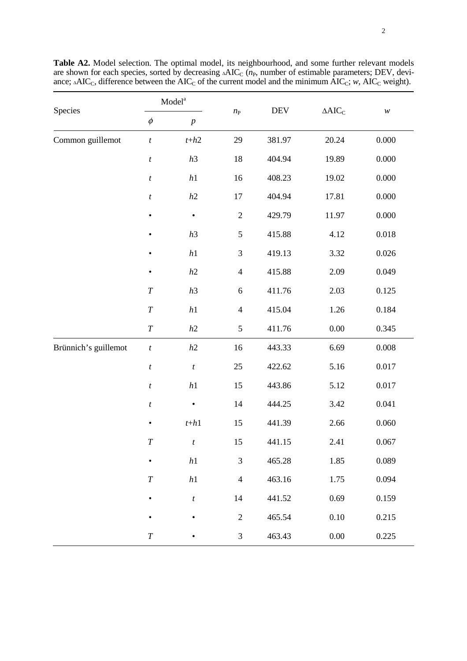| Species              | $\bf{Model}^a$   |                          | $n_{\rm P}$    | <b>DEV</b> | $\Delta\text{AIC}_\text{C}$ |                            |
|----------------------|------------------|--------------------------|----------------|------------|-----------------------------|----------------------------|
|                      | $\phi$           | $\boldsymbol{p}$         |                |            |                             | $\boldsymbol{\mathcal{W}}$ |
| Common guillemot     | $\boldsymbol{t}$ | $t+h2$                   | 29             | 381.97     | 20.24                       | 0.000                      |
|                      | $\boldsymbol{t}$ | h3                       | 18             | 404.94     | 19.89                       | $0.000\,$                  |
|                      | $\boldsymbol{t}$ | $\sqrt{h}1$              | 16             | 408.23     | 19.02                       | 0.000                      |
|                      | $\boldsymbol{t}$ | h2                       | 17             | 404.94     | 17.81                       | 0.000                      |
|                      | $\bullet$        | $\bullet$                | $\sqrt{2}$     | 429.79     | 11.97                       | 0.000                      |
|                      | $\bullet$        | h3                       | $\mathfrak{S}$ | 415.88     | 4.12                        | 0.018                      |
|                      | $\bullet$        | $\sqrt{h}1$              | $\mathfrak{Z}$ | 419.13     | 3.32                        | 0.026                      |
|                      | $\bullet$        | h2                       | $\overline{4}$ | 415.88     | 2.09                        | 0.049                      |
|                      | $\cal T$         | h3                       | $\sqrt{6}$     | 411.76     | 2.03                        | 0.125                      |
|                      | $\cal T$         | $\sqrt{h}1$              | $\overline{4}$ | 415.04     | 1.26                        | 0.184                      |
|                      | $\cal T$         | $h2$                     | 5              | 411.76     | $0.00\,$                    | 0.345                      |
| Brünnich's guillemot | $\boldsymbol{t}$ | $\ensuremath{h2}\xspace$ | 16             | 443.33     | 6.69                        | $0.008\,$                  |
|                      | $\boldsymbol{t}$ | $\boldsymbol{t}$         | 25             | 422.62     | 5.16                        | 0.017                      |
|                      | $\boldsymbol{t}$ | $\,h1$                   | 15             | 443.86     | 5.12                        | 0.017                      |
|                      | $\boldsymbol{t}$ | $\bullet$                | 14             | 444.25     | 3.42                        | 0.041                      |
|                      | $\bullet$        | $t+h1$                   | 15             | 441.39     | 2.66                        | 0.060                      |
|                      | $\overline{T}$   | $\boldsymbol{t}$         | 15             | 441.15     | 2.41                        | 0.067                      |
|                      |                  | h1                       | 3              | 465.28     | 1.85                        | 0.089                      |
|                      | $\cal T$         | $\sqrt{h}1$              | $\overline{4}$ | 463.16     | 1.75                        | 0.094                      |
|                      | $\bullet$        | $\boldsymbol{t}$         | 14             | 441.52     | 0.69                        | 0.159                      |
|                      |                  | $\bullet$                | $\overline{2}$ | 465.54     | $0.10\,$                    | 0.215                      |
|                      | $\cal T$         |                          | $\mathfrak{Z}$ | 463.43     | 0.00                        | 0.225                      |

**Table A2.** Model selection. The optimal model, its neighbourhood, and some further relevant models are shown for each species, sorted by decreasing ∆AIC<sub>C</sub> (n<sub>P</sub>, number of estimable parameters; DEV, deviance; ∆AIC<sub>C</sub>, difference between the AIC<sub>C</sub> of the current model and the minimum AIC<sub>C</sub>; *w*, AIC<sub>C</sub> weight).